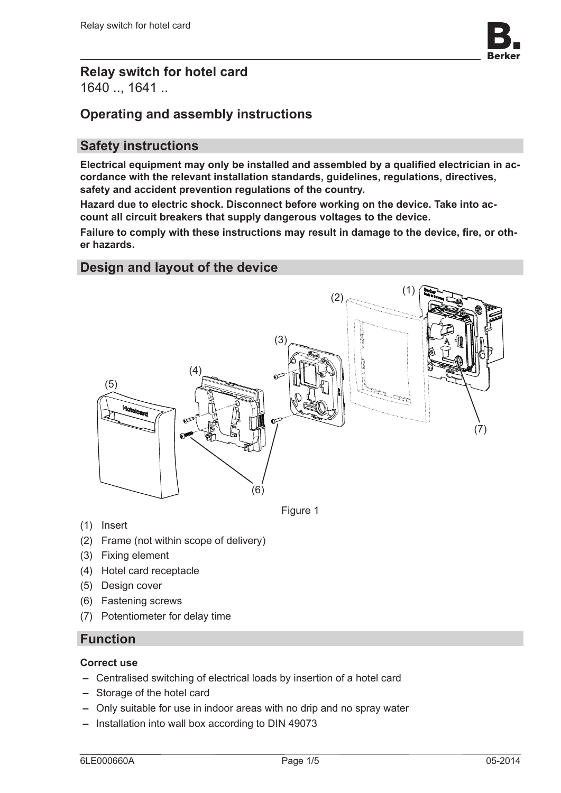

## **Relay switch for hotel card** 1640 .., 1641 ..

# **Operating and assembly instructions**

## **Safety instructions**

**Electrical equipment may only be installed and assembled by a qualified electrician in accordance with the relevant installation standards, guidelines, regulations, directives, safety and accident prevention regulations of the country.**

**Hazard due to electric shock. Disconnect before working on the device. Take into account all circuit breakers that supply dangerous voltages to the device.**

**Failure to comply with these instructions may result in damage to the device, fire, or other hazards.**

### **Design and layout of the device**



Figure 1

- (1) Insert
- (2) Frame (not within scope of delivery)
- (3) Fixing element
- (4) Hotel card receptacle
- (5) Design cover
- (6) Fastening screws
- (7) Potentiometer for delay time

### **Function**

#### **Correct use**

- **–** Centralised switching of electrical loads by insertion of a hotel card
- **–** Storage of the hotel card
- **–** Only suitable for use in indoor areas with no drip and no spray water
- **–** Installation into wall box according to DIN 49073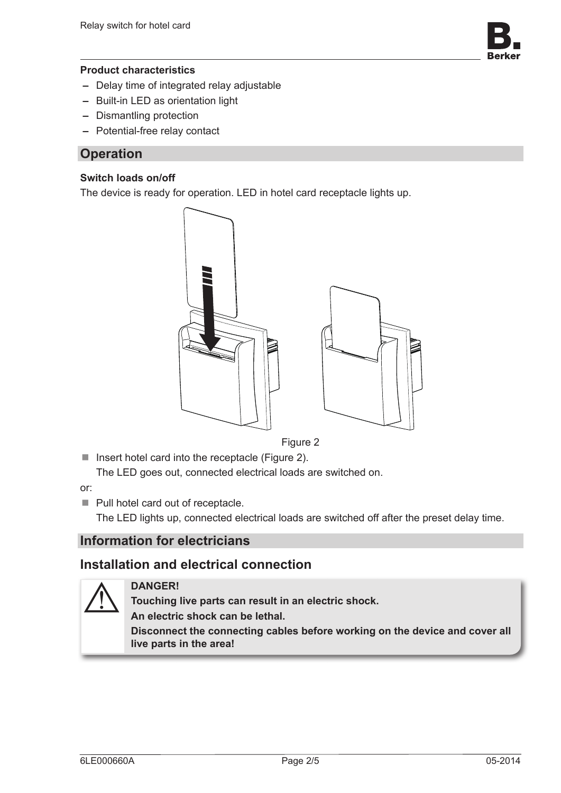

#### **Product characteristics**

- **–** Delay time of integrated relay adjustable
- **–** Built-in LED as orientation light
- **–** Dismantling protection
- **–** Potential-free relay contact

#### **Operation**

#### **Switch loads on/off**

The device is ready for operation. LED in hotel card receptacle lights up.



Figure 2

■ Insert hotel card into the receptacle (Figure 2). The LED goes out, connected electrical loads are switched on.

or:

Pull hotel card out of receptacle.

The LED lights up, connected electrical loads are switched off after the preset delay time.

### **Information for electricians**

### **Installation and electrical connection**



#### **DANGER!**

**Touching live parts can result in an electric shock. An electric shock can be lethal. Disconnect the connecting cables before working on the device and cover all live parts in the area!**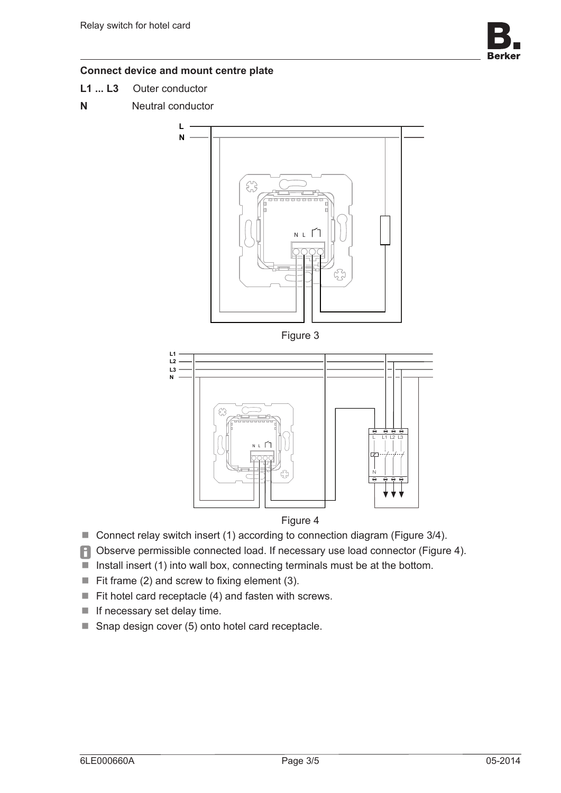

#### **Connect device and mount centre plate**

- **L1 ... L3** Outer conductor
- **N** Neutral conductor





Figure 4

- Connect relay switch insert (1) according to connection diagram (Figure 3/4).
- **P** Observe permissible connected load. If necessary use load connector (Figure 4).
- Install insert (1) into wall box, connecting terminals must be at the bottom.
- $\blacksquare$  Fit frame (2) and screw to fixing element (3).

**N**

- $\blacksquare$  Fit hotel card receptacle (4) and fasten with screws.
- $\blacksquare$  If necessary set delay time.
- Snap design cover (5) onto hotel card receptacle.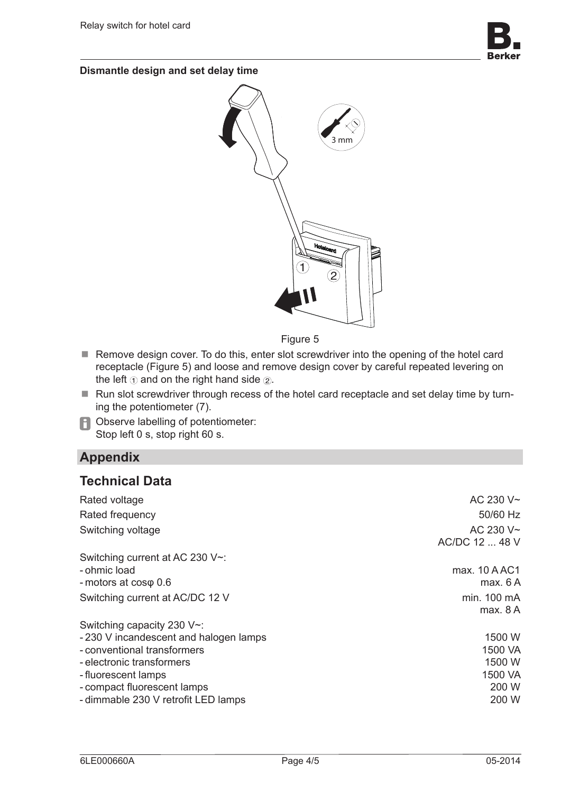

**Dismantle design and set delay time**



Figure 5

- Remove design cover. To do this, enter slot screwdriver into the opening of the hotel card receptacle (Figure 5) and loose and remove design cover by careful repeated levering on the left  $\odot$  and on the right hand side  $\odot$ .
- Run slot screwdriver through recess of the hotel card receptacle and set delay time by turning the potentiometer (7).
- **P** Observe labelling of potentiometer: Stop left 0 s, stop right 60 s.

# **Appendix**

## **Technical Data**

| Rated voltage                         | AC 230 V~      |
|---------------------------------------|----------------|
| Rated frequency                       | 50/60 Hz       |
| Switching voltage                     | AC 230 V~      |
|                                       | AC/DC 12  48 V |
| Switching current at AC 230 V~:       |                |
| - ohmic load                          | max. 10 A AC1  |
| - motors at $cos\varphi$ 0.6          | max. 6A        |
| Switching current at AC/DC 12 V       | min. 100 mA    |
|                                       | max. 8A        |
| Switching capacity 230 V~:            |                |
| -230 V incandescent and halogen lamps | 1500 W         |
| - conventional transformers           | 1500 VA        |
| - electronic transformers             | 1500 W         |
| - fluorescent lamps                   | 1500 VA        |
| - compact fluorescent lamps           | 200 W          |
| - dimmable 230 V retrofit LED lamps   | 200 W          |